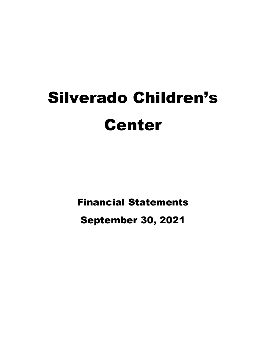# Silverado Children's Center

Financial Statements

September 30, 2021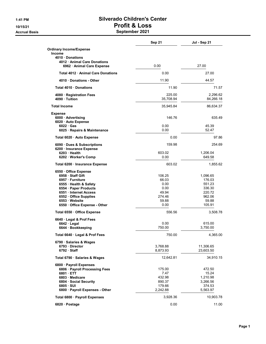#### 1:41 PM Silverado Children's Center 10/15/21 Profit & Loss Accrual Basis **September 2021**

|                                                          | <b>Sep 21</b>       | Jul - Sep 21          |
|----------------------------------------------------------|---------------------|-----------------------|
| <b>Ordinary Income/Expense</b>                           |                     |                       |
| Income                                                   |                     |                       |
| 4010 Donations                                           |                     |                       |
| 4012 Animal Care Donations<br>6962 · Animal Care Expense | 0.00                | 27.00                 |
| Total 4012 · Animal Care Donations                       | 0.00                | 27.00                 |
| 4010 Donations - Other                                   | 11.90               | 44.57                 |
| Total 4010 Donations                                     | 11.90               | 71.57                 |
|                                                          |                     |                       |
| 4080 · Registration Fees<br>4090 · Tuition               | 225.00<br>35,708.94 | 2,296.62<br>84,266.18 |
| <b>Total Income</b>                                      | 35,945.84           | 86,634.37             |
| <b>Expense</b>                                           |                     |                       |
| 6000 Advertising<br>6020 · Auto Expense                  | 146.76              | 635.49                |
| $6022 \cdot Gas$                                         | 0.00                | 45.39                 |
| 6025 · Repairs & Maintenance                             | 0.00                | 52.47                 |
| Total 6020 · Auto Expense                                | 0.00                | 97.86                 |
| 6090 Dues & Subscriptions<br>6200 Insurance Expense      | 159.98              | 254.69                |
| 6203 Health                                              | 603.02              | 1,206.04              |
| 6202 Worker's Comp                                       | 0.00                | 649.58                |
| Total 6200 · Insurance Expense                           | 603.02              | 1,855.62              |
| 6550 Office Expense                                      |                     |                       |
| 6958 Staff Gift                                          | 106.25              | 1,096.65              |
| 6957 · Furniture                                         | 66.03               | 176.03                |
| 6555 · Health & Safety                                   | 0.00                | 551.23                |
| 6554 · Paper Products                                    | 0.00                | 336.30                |
| 6551 Internet Access                                     | 49.94               | 220.72                |
| 6552 Office Supplies                                     | 274.46              | 962.06                |
| 6553 Website                                             | 59.88               | 59.88                 |
| 6550 Office Expense - Other                              | 0.00                | 105.91                |
| Total 6550 · Office Expense                              | 556.56              | 3,508.78              |
| 6640 Legal & Prof Fees                                   |                     |                       |
| 6642 Legal                                               | 0.00                | 615.00                |
| 6644 · Bookkeeping                                       | 750.00              | 3,750.00              |
| Total 6640 · Legal & Prof Fees                           | 750.00              | 4,365.00              |
| 6790 · Salaries & Wages                                  |                     |                       |
| 6793 Director                                            | 3,768.88            | 11,306.65             |
| 6792 Staff                                               | 8,873.93            | 23,603.50             |
| Total 6790 · Salaries & Wages                            | 12,642.81           | 34,910.15             |
| 6800 · Payroll Expenses                                  |                     |                       |
| 6806 · Payroll Processing Fees                           | 175.00              | 472.50                |
| 6801 ETT                                                 | 7.47                | 15.24                 |
| 6803 Medicare                                            | 432.98              | 1,210.98              |
| 6804 Social Security                                     | 890.37              | 3,266.56              |
| $6805 \cdot SUI$                                         | 179.66              | 374.53                |
| 6800 · Payroll Expenses - Other                          | 2,242.88            | 5,563.97              |
| Total 6800 · Payroll Expenses                            | 3,928.36            | 10,903.78             |
| 6820 Postage                                             | 0.00                | 11.00                 |
|                                                          |                     |                       |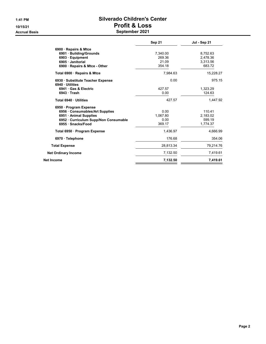#### 1:41 PM Silverado Children's Center 10/15/21 Profit & Loss Accrual Basis **September 2021**

|                                                     | <b>Sep 21</b> | Jul - Sep 21 |
|-----------------------------------------------------|---------------|--------------|
| 6900 · Repairs & Mtce                               |               |              |
| 6901 Building/Grounds                               | 7,340.00      | 8,752.63     |
| 6903 Equipment                                      | 269.36        | 2.478.36     |
| 6905 · Janitorial                                   | 21.09         | 3,313.56     |
| 6900 Repairs & Mtce - Other                         | 354.18        | 683.72       |
| Total 6900 · Repairs & Mtce                         | 7,984.63      | 15,228.27    |
| 6930 · Substitute Teacher Expense<br>6940 Utilities | 0.00          | 975.15       |
| 6941 Gas & Electric                                 | 427.57        | 1.323.29     |
| 6943 Trash                                          | 0.00          | 124.63       |
| Total 6940 Utilities                                | 427.57        | 1,447.92     |
| 6950 · Program Expense                              |               |              |
| 6956 Consumables/Art Supplies                       | 0.00          | 110.41       |
| 6951 • Animal Supplies                              | 1,067.80      | 2,183.02     |
| 6952 Curriculum Supp/Non Consumable                 | 0.00          | 599.19       |
| 6955 Snacks/Food                                    | 369.17        | 1.774.37     |
| Total 6950 · Program Expense                        | 1,436.97      | 4,666.99     |
| 6970 · Telephone                                    | 176.68        | 354.06       |
| <b>Total Expense</b>                                | 28,813.34     | 79,214.76    |
| <b>Net Ordinary Income</b>                          | 7,132.50      | 7,419.61     |
| Net Income                                          | 7,132.50      | 7,419.61     |
|                                                     |               |              |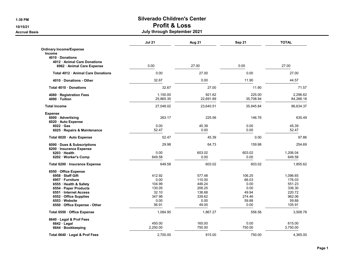### 1:39 PM Silverado Children's Center 10/15/21 Profit & Loss

#### Accrual Basis July through September 2021

|                                                        | <b>Jul 21</b> | Aug 21    | Sep 21    | <b>TOTAL</b> |
|--------------------------------------------------------|---------------|-----------|-----------|--------------|
| <b>Ordinary Income/Expense</b>                         |               |           |           |              |
| <b>Income</b>                                          |               |           |           |              |
| 4010 Donations                                         |               |           |           |              |
| 4012 Animal Care Donations<br>6962 Animal Care Expense | 0.00          | 27.00     | 0.00      | 27.00        |
|                                                        |               | 27.00     |           | 27.00        |
| Total 4012 Animal Care Donations                       | 0.00          |           | 0.00      |              |
| 4010 Donations - Other                                 | 32.67         | 0.00      | 11.90     | 44.57        |
| Total 4010 Donations                                   | 32.67         | 27.00     | 11.90     | 71.57        |
| 4080 · Registration Fees                               | 1,150.00      | 921.62    | 225.00    | 2.296.62     |
| 4090 Tuition                                           | 25,865.35     | 22,691.89 | 35,708.94 | 84,266.18    |
| <b>Total Income</b>                                    | 27,048.02     | 23,640.51 | 35,945.84 | 86,634.37    |
| <b>Expense</b>                                         |               |           |           |              |
| 6000 Advertising                                       | 263.17        | 225.56    | 146.76    | 635.49       |
| 6020 · Auto Expense<br>$6022 \cdot Gas$                | 0.00          | 45.39     | 0.00      | 45.39        |
| 6025 · Repairs & Maintenance                           | 52.47         | 0.00      | 0.00      | 52.47        |
| Total 6020 · Auto Expense                              | 52.47         | 45.39     | 0.00      | 97.86        |
| 6090 · Dues & Subscriptions                            | 29.98         | 64.73     | 159.98    | 254.69       |
| 6200 · Insurance Expense                               |               |           |           |              |
| $6203$ Health                                          | 0.00          | 603.02    | 603.02    | 1,206.04     |
| 6202 Worker's Comp                                     | 649.58        | 0.00      | 0.00      | 649.58       |
| Total 6200 · Insurance Expense                         | 649.58        | 603.02    | 603.02    | 1,855.62     |
| 6550 Office Expense                                    |               |           |           |              |
| 6958 · Staff Gift                                      | 412.92        | 577.48    | 106.25    | 1,096.65     |
| 6957 · Furniture                                       | 0.00          | 110.00    | 66.03     | 176.03       |
| 6555 · Health & Safety                                 | 104.99        | 446.24    | 0.00      | 551.23       |
| 6554 Paper Products                                    | 130.05        | 206.25    | 0.00      | 336.30       |
| 6551 · Internet Access                                 | 32.10         | 138.68    | 49.94     | 220.72       |
| 6552 Office Supplies                                   | 347.98        | 339.62    | 274.46    | 962.06       |
| 6553 Website                                           | 0.00          | 0.00      | 59.88     | 59.88        |
| 6550 Office Expense - Other                            | 56.91         | 49.00     | 0.00      | 105.91       |
| Total 6550 · Office Expense                            | 1,084.95      | 1,867.27  | 556.56    | 3,508.78     |
| 6640 Legal & Prof Fees                                 |               |           |           |              |
| $6642 \cdot$ Legal                                     | 450.00        | 165.00    | 0.00      | 615.00       |
| 6644 · Bookkeeping                                     | 2,250.00      | 750.00    | 750.00    | 3,750.00     |
| Total 6640 · Legal & Prof Fees                         | 2.700.00      | 915.00    | 750.00    | 4.365.00     |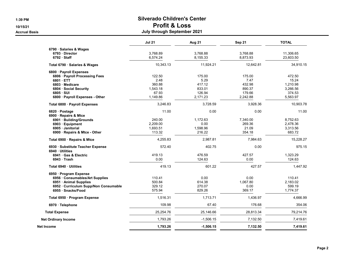### 1:39 PM Silverado Children's Center 10/15/21 Profit & Loss

#### Accrual Basis July through September 2021

|                                       | <b>Jul 21</b> | Aug 21      | Sep 21    | <b>TOTAL</b> |
|---------------------------------------|---------------|-------------|-----------|--------------|
| 6790 · Salaries & Wages               |               |             |           |              |
| 6793 Director                         | 3,768.89      | 3,768.88    | 3,768.88  | 11,306.65    |
| $6792 \cdot$ Staff                    | 6,574.24      | 8,155.33    | 8,873.93  | 23,603.50    |
| Total 6790 · Salaries & Wages         | 10,343.13     | 11,924.21   | 12,642.81 | 34,910.15    |
| 6800 · Payroll Expenses               |               |             |           |              |
| 6806 · Payroll Processing Fees        | 122.50        | 175.00      | 175.00    | 472.50       |
| 6801 ETT                              | 2.48          | 5.29        | 7.47      | 15.24        |
| 6803 Medicare                         | 360.88        | 417.12      | 432.98    | 1,210.98     |
| 6804 · Social Security                | 1,543.18      | 833.01      | 890.37    | 3,266.56     |
| $6805 \cdot SUI$                      | 67.93         | 126.94      | 179.66    | 374.53       |
| 6800 · Payroll Expenses - Other       | 1,149.86      | 2,171.23    | 2,242.88  | 5,563.97     |
| Total 6800 · Payroll Expenses         | 3,246.83      | 3,728.59    | 3,928.36  | 10,903.78    |
| 6820 · Postage                        | 11.00         | 0.00        | 0.00      | 11.00        |
| 6900 · Repairs & Mtce                 |               |             |           |              |
| 6901 · Building/Grounds               | 240.00        | 1,172.63    | 7,340.00  | 8,752.63     |
| 6903 · Equipment                      | 2,209.00      | 0.00        | 269.36    | 2,478.36     |
| 6905 · Janitorial                     | 1,693.51      | 1,598.96    | 21.09     | 3,313.56     |
| 6900 Repairs & Mtce - Other           | 113.32        | 216.22      | 354.18    | 683.72       |
| Total 6900 · Repairs & Mtce           | 4.255.83      | 2.987.81    | 7.984.63  | 15,228.27    |
| 6930 · Substitute Teacher Expense     | 572.40        | 402.75      | 0.00      | 975.15       |
| 6940 Utilities                        | 419.13        | 476.59      | 427.57    | 1,323.29     |
| 6941 Gas & Electric                   | 0.00          |             | 0.00      |              |
| $6943 \cdot$ Trash                    |               | 124.63      |           | 124.63       |
| Total 6940 · Utilities                | 419.13        | 601.22      | 427.57    | 1,447.92     |
| 6950 · Program Expense                |               |             |           |              |
| 6956 Consumables/Art Supplies         | 110.41        | 0.00        | 0.00      | 110.41       |
| 6951 · Animal Supplies                | 500.84        | 614.38      | 1,067.80  | 2,183.02     |
| 6952 · Curriculum Supp/Non Consumable | 329.12        | 270.07      | 0.00      | 599.19       |
| 6955 · Snacks/Food                    | 575.94        | 829.26      | 369.17    | 1,774.37     |
| Total 6950 · Program Expense          | 1,516.31      | 1,713.71    | 1,436.97  | 4,666.99     |
| 6970 · Telephone                      | 109.98        | 67.40       | 176.68    | 354.06       |
| <b>Total Expense</b>                  | 25,254.76     | 25,146.66   | 28,813.34 | 79,214.76    |
| <b>Net Ordinary Income</b>            | 1,793.26      | $-1,506.15$ | 7,132.50  | 7,419.61     |
| Net Income                            | 1,793.26      | $-1,506.15$ | 7,132.50  | 7,419.61     |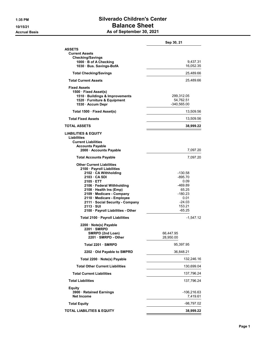# 1:35 PM Silverado Children's Center 10/15/21 **Balance Sheet**

Accrual Basis **As of September 30, 2021** 

|                                                   | Sep 30, 21         |
|---------------------------------------------------|--------------------|
| ASSETS                                            |                    |
| <b>Current Assets</b>                             |                    |
| <b>Checking/Savings</b><br>1000 · B of A Checking | 9,437.31           |
| 1030 Bus. Savings-BofA                            | 16,052.35          |
| <b>Total Checking/Savings</b>                     | 25,489.66          |
| <b>Total Current Assets</b>                       | 25,489.66          |
| <b>Fixed Assets</b>                               |                    |
| 1500 · Fixed Asset(s)                             |                    |
| 1510 · Buildings & Improvements                   | 299,312.05         |
| 1520 · Furniture & Equipment                      | 54,762.51          |
| 1530 · Accum Depr                                 | $-340,565.00$      |
| Total 1500 · Fixed Asset(s)                       | 13,509.56          |
| <b>Total Fixed Assets</b>                         | 13,509.56          |
| <b>TOTAL ASSETS</b>                               | 38,999.22          |
| <b>LIABILITIES &amp; EQUITY</b>                   |                    |
| Liabilities                                       |                    |
| <b>Current Liabilities</b>                        |                    |
| <b>Accounts Payable</b>                           |                    |
| 2000 Accounts Payable                             | 7,097.20           |
| <b>Total Accounts Payable</b>                     | 7,097.20           |
| <b>Other Current Liabilities</b>                  |                    |
| 2100 · Payroll Liabilities                        |                    |
| 2102 CA Withholding<br>2103 CA SDI                | -130.58<br>-895.70 |
| 2105 ETT                                          | 0.09               |
| 2106 · Federal Withholding                        | -469.89            |
| 2108 · Health Ins (Emp)                           | 65.25              |
| 2109 · Medicare - Company                         | $-180.23$          |
| 2110 Medicare - Employee                          | 0.01               |
| 2111 · Social Security - Company                  | $-24.03$           |
| $2113 \cdot SUI$                                  | 153.21             |
| 2100 · Payroll Liabilities - Other                | $-65.25$           |
| Total 2100 · Payroll Liabilities                  | $-1,547.12$        |
| 2200 · Note(s) Payable<br>2201 SMRPD              |                    |
| SMRPD (2nd Loan)                                  | 66,447.95          |
| 2201 · SMRPD - Other                              | 28,950.00          |
| Total 2201 · SMRPD                                | 95,397.95          |
| 2202 Old Payable to SMPRD                         | 36,848.21          |
| Total 2200 · Note(s) Payable                      | 132,246.16         |
| <b>Total Other Current Liabilities</b>            | 130,699.04         |
| <b>Total Current Liabilities</b>                  | 137,796.24         |
| <b>Total Liabilities</b>                          | 137,796.24         |
| <b>Equity</b>                                     |                    |
| 3900 · Retained Earnings                          | -106,216.63        |
| <b>Net Income</b>                                 | 7,419.61           |
| <b>Total Equity</b>                               | -98,797.02         |
| TOTAL LIABILITIES & EQUITY                        | 38,999.22          |
|                                                   |                    |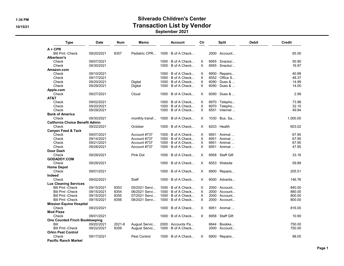# 1:34 PM Silverado Children's Center 10/15/21 and the contraction Contraction List by Vendor

September 2021

| <b>Type</b>                            | Date       | <b>Num</b> | Memo           | <b>Account</b>            | Cir                       | <b>Split</b>          | <b>Debit</b> | <b>Credit</b> |
|----------------------------------------|------------|------------|----------------|---------------------------|---------------------------|-----------------------|--------------|---------------|
| $A + CPR$                              |            |            |                |                           |                           |                       |              |               |
| <b>Bill Pmt -Check</b>                 | 09/20/2021 | 8357       | Pediatric CPR  | $1000 \cdot B$ of A Check |                           | $2000 \cdot$ Account  |              | 65.00         |
| Albertson's                            |            |            |                |                           |                           |                       |              |               |
| Check                                  | 09/07/2021 |            |                | $1000 \cdot B$ of A Check | X                         | $6955 \cdot$ Snacks/  |              | 50.90         |
| Check                                  | 09/30/2021 |            |                | $1000 \cdot B$ of A Check | $\times$                  | $6955 \cdot$ Snacks/  |              | 16.97         |
| Amazon.com                             |            |            |                |                           |                           |                       |              |               |
| Check                                  | 09/10/2021 |            |                | $1000 \cdot B$ of A Check | Х                         | $6900 \cdot$ Repairs  |              | 40.98         |
| Check                                  | 09/17/2021 |            |                | $1000 \cdot B$ of A Check | X                         | $6552 \cdot$ Office S |              | 48.37         |
| Check                                  | 09/20/2021 |            | Digital        | $1000 \cdot B$ of A Check | X                         | 6090 · Dues &         |              | 14.99         |
| Check                                  | 09/29/2021 |            |                |                           | $\times$                  | 6090 · Dues &         |              | 14.00         |
|                                        |            |            | Digital        | 1000 · B of A Check       |                           |                       |              |               |
| Apple.com                              |            |            |                |                           |                           |                       |              |               |
| Check                                  | 09/27/2021 |            | Cloud          | $1000 \cdot B$ of A Check | $\times$                  | $6090 \cdot$ Dues &   |              | 2.99          |
| AT&T                                   |            |            |                |                           |                           |                       |              |               |
| Check                                  | 09/02/2021 |            |                | $1000 \cdot B$ of A Check | X                         | 6970 $\cdot$ Telepho  |              | 73.98         |
| Check                                  | 09/20/2021 |            |                | $1000 \cdot B$ of A Check | $\boldsymbol{\mathsf{X}}$ | $6970 \cdot$ Telepho  |              | 32.10         |
| Check                                  | 09/29/2021 |            |                | $1000 \cdot B$ of A Check | X                         | $6551 \cdot$ Internet |              | 49.94         |
| <b>Bank of America</b>                 |            |            |                |                           |                           |                       |              |               |
| Check                                  | 09/30/2021 |            | monthly transf | $1000 \cdot B$ of A Check | X                         | $1030 \cdot Bus.$ Sa  |              | 1,000.00      |
| <b>California Choice Benefit Admin</b> |            |            |                |                           |                           |                       |              |               |
| Check                                  | 09/22/2021 |            | October        | $1000 \cdot B$ of A Check | X                         | $6203 \cdot$ Health   |              | 603.02        |
| <b>Canyon Feed &amp; Tack</b>          |            |            |                |                           |                           |                       |              |               |
| Check                                  | 09/07/2021 |            | Account #737   | $1000 \cdot B$ of A Check | Χ                         | $6951 \cdot$ Animal   |              | 67.95         |
| Check                                  | 09/14/2021 |            | Account #737   | $1000 \cdot B$ of A Check | X                         | $6951 \cdot$ Animal   |              | 67.95         |
| Check                                  | 09/21/2021 |            | Account #737   | $1000 \cdot B$ of A Check | X                         | $6951 \cdot$ Animal   |              | 67.95         |
| Check                                  | 09/28/2021 |            | Account #737   | $1000 \cdot B$ of A Check | $\times$                  | $6951 \cdot$ Animal   |              | 47.95         |
| <b>Door Dash</b>                       |            |            |                |                           |                           |                       |              |               |
| Check                                  | 09/29/2021 |            | Pink Dot       | $1000 \cdot B$ of A Check | X                         | 6958 · Staff Gift     |              | 33.16         |
| <b>GODADDY.COM</b>                     |            |            |                |                           |                           |                       |              |               |
| Check                                  | 09/29/2021 |            |                |                           | X                         |                       |              | 59.88         |
|                                        |            |            |                | $1000 \cdot B$ of A Check |                           | 6553 · Website        |              |               |
| <b>Home Depot</b>                      |            |            |                |                           |                           |                       |              |               |
| Check                                  | 09/01/2021 |            |                | $1000 \cdot B$ of A Check | $\times$                  | $6900 \cdot$ Repairs  |              | 205.51        |
| Indeed                                 |            |            |                |                           |                           |                       |              |               |
| Check                                  | 09/02/2021 |            | <b>Staff</b>   | $1000 \cdot B$ of A Check | $\times$                  | $6000 \cdot$ Advertis |              | 146.76        |
| <b>Lux Cleaning Services</b>           |            |            |                |                           |                           |                       |              |               |
| <b>Bill Pmt -Check</b>                 | 09/15/2021 | 8353       | 05/2021 Servi  | $1000 \cdot B$ of A Check | $\times$                  | $2000 \cdot$ Account  |              | 840.00        |
| <b>Bill Pmt -Check</b>                 | 09/15/2021 | 8354       | 06/2021 Servi  | $1000 \cdot B$ of A Check | $\times$                  | 2000 · Account        |              | 880.00        |
| <b>Bill Pmt -Check</b>                 | 09/15/2021 | 8355       | 07/2021 Servi  | $1000 \cdot B$ of A Check | X                         | $2000 \cdot$ Account  |              | 800.00        |
| <b>Bill Pmt -Check</b>                 | 09/15/2021 | 8356       | 08/2021 Servi  | $1000 \cdot B$ of A Check | X                         | $2000 \cdot$ Account  |              | 800.00        |
| <b>Mission Equine Hospital</b>         |            |            |                |                           |                           |                       |              |               |
| Check                                  | 09/23/2021 |            |                | $1000 \cdot B$ of A Check | X                         | 6951 · Animal         |              | 816.00        |
| <b>Mod Pizza</b>                       |            |            |                |                           |                           |                       |              |               |
| Check                                  | 09/01/2021 |            |                | $1000 \cdot B$ of A Check | $\times$                  | 6958 · Staff Gift     |              | 10.90         |
| <b>One Counted Finch Bookkeeping</b>   |            |            |                |                           |                           |                       |              |               |
| Bill                                   | 09/20/2021 | 2021-8     | August Servic  | 2000 · Accounts Pa        |                           | 6644 · Bookke         |              | 750.00        |
| <b>Bill Pmt - Check</b>                | 09/22/2021 | 8359       | August Servic  | $1000 \cdot B$ of A Check |                           | 2000 · Account        |              | 750.00        |
| <b>Orkin Pest Control</b>              |            |            |                |                           |                           |                       |              |               |
|                                        | 09/17/2021 |            | Pest Control   | $1000 \cdot B$ of A Check |                           |                       |              | 98.00         |
| Check                                  |            |            |                |                           | X                         | $6900 \cdot$ Repairs  |              |               |
| <b>Pacific Ranch Market</b>            |            |            |                |                           |                           |                       |              |               |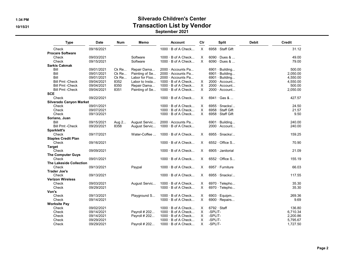## 1:34 PM Silverado Children's Center 10/15/21 and the contraction Contraction List by Vendor

#### September 2021

| <b>Type</b>                    | <b>Date</b> | <b>Num</b>    | Memo           | <b>Account</b>            | Cir            |                    | <b>Split</b>          | <b>Debit</b> | <b>Credit</b> |
|--------------------------------|-------------|---------------|----------------|---------------------------|----------------|--------------------|-----------------------|--------------|---------------|
| Check                          | 09/16/2021  |               |                | $1000 \cdot B$ of A Check | $\pmb{\times}$ |                    | 6958 · Staff Gift     |              | 31.12         |
| <b>Procare Software</b>        |             |               |                |                           |                |                    |                       |              |               |
| Check                          | 09/03/2021  |               | Software       | $1000 \cdot B$ of A Check | X              |                    | $6090 \cdot$ Dues &   |              | 49.00         |
| Check                          | 09/15/2021  |               | Software       | $1000 \cdot B$ of A Check | $\times$       |                    | $6090 \cdot$ Dues &   |              | 79.00         |
| <b>Sarkis Cakmak</b>           |             |               |                |                           |                |                    |                       |              |               |
| Bill                           | 09/01/2021  | Ck Re         | Repair Dama    | $2000 \cdot$ Accounts Pa  |                |                    | 6901 · Building       |              | 500.00        |
| Bill                           | 09/01/2021  | Ck Re         | Painting of Se | 2000 · Accounts Pa        |                |                    | $6901 \cdot$ Building |              | 2,050.00      |
| Bill                           | 09/01/2021  | Ck Re         | Labor for Floo | 2000 · Accounts Pa        |                |                    | $6901 \cdot$ Building |              | 4,550.00      |
| <b>Bill Pmt -Check</b>         | 09/04/2021  | 8352          | Labor to Insta | 1000 · B of A Check       | X              |                    | 2000 · Account        |              | 4,550.00      |
| <b>Bill Pmt -Check</b>         | 09/04/2021  | 8350          | Repair Dama    | $1000 \cdot B$ of A Check | X              |                    | 2000 · Account        |              | 500.00        |
| <b>Bill Pmt -Check</b>         | 09/04/2021  | 8351          | Painting of Se | $1000 \cdot B$ of A Check | X              |                    | $2000 \cdot$ Account  |              | 2,050.00      |
| <b>SCE</b>                     |             |               |                |                           |                |                    |                       |              |               |
| Check                          | 09/22/2021  |               |                | $1000 \cdot B$ of A Check | X              |                    | $6941 \cdot$ Gas &    |              | 427.57        |
| <b>Silverado Canyon Market</b> |             |               |                |                           |                |                    |                       |              |               |
| Check                          | 09/01/2021  |               |                | $1000 \cdot B$ of A Check | Χ              |                    | 6955 · Snacks/        |              | 24.50         |
| Check                          | 09/07/2021  |               |                | $1000 \cdot B$ of A Check | $\times$       |                    | 6958 · Staff Gift     |              | 21.57         |
| Check                          | 09/13/2021  |               |                | $1000 \cdot B$ of A Check | X              |                    | 6958 · Staff Gift     |              | 9.50          |
|                                |             |               |                |                           |                |                    |                       |              |               |
| Soriano, Juan<br>Bill          | 09/15/2021  |               | August Servic  | 2000 Accounts Pa          |                |                    | 6901 · Building       |              | 240.00        |
|                                | 09/20/2021  | Aug 2<br>8358 |                | $1000 \cdot B$ of A Check |                |                    |                       |              |               |
| <b>Bill Pmt -Check</b>         |             |               | August Servic  |                           |                |                    | $2000 \cdot$ Account  |              | 240.00        |
| Sparklett's                    |             |               |                |                           |                |                    |                       |              |               |
| Check                          | 09/17/2021  |               | Water-Coffee   | $1000 \cdot B$ of A Check | X              |                    | $6955 \cdot$ Snacks/  |              | 159.25        |
| <b>Staples Credit Plan</b>     |             |               |                |                           |                |                    |                       |              |               |
| Check                          | 09/16/2021  |               |                | $1000 \cdot B$ of A Check | X              |                    | $6552 \cdot$ Office S |              | 70.90         |
| <b>Target</b>                  |             |               |                |                           |                |                    |                       |              |               |
| Check                          | 09/09/2021  |               |                | $1000 \cdot B$ of A Check | X              |                    | 6905 · Janitorial     |              | 21.09         |
| The Computer Guys              |             |               |                |                           |                |                    |                       |              |               |
| Check                          | 09/01/2021  |               |                | $1000 \cdot B$ of A Check | X              |                    | $6552 \cdot$ Office S |              | 155.19        |
| <b>The Lakeside Collection</b> |             |               |                |                           |                |                    |                       |              |               |
| Check                          | 09/13/2021  |               | Paypal         | $1000 \cdot B$ of A Check | X              |                    | 6957 · Furniture      |              | 66.03         |
| <b>Trader Joe's</b>            |             |               |                |                           |                |                    |                       |              |               |
| Check                          | 09/13/2021  |               |                | $1000 \cdot B$ of A Check | X              |                    | $6955 \cdot$ Snacks/  |              | 117.55        |
| <b>Verizon Wireless</b>        |             |               |                |                           |                |                    |                       |              |               |
| Check                          | 09/03/2021  |               | August Servic  | $1000 \cdot B$ of A Check | X              |                    | $6970 \cdot$ Telepho  |              | 35.30         |
| Check                          | 09/29/2021  |               |                | $1000 \cdot B$ of A Check | $\times$       |                    | 6970 $\cdot$ Telepho  |              | 35.30         |
| Von's                          |             |               |                |                           |                |                    |                       |              |               |
| Check                          | 09/13/2021  |               | Playground S   | 1000 · B of A Check       | X              |                    | $6903 \cdot$ Equipm   |              | 269.36        |
| Check                          | 09/14/2021  |               |                | $1000 \cdot B$ of A Check | X              |                    | 6900 · Repairs        |              | 9.69          |
| <b>Worksite Pay</b>            |             |               |                |                           |                |                    |                       |              |               |
| Check                          | 09/02/2021  |               |                | $1000 \cdot B$ of A Check | X              | $6792 \cdot$ Staff |                       |              | 136.80        |
| Check                          | 09/14/2021  |               | Payroll # 202  | $1000 \cdot B$ of A Check | X              | -SPLIT-            |                       |              | 6,710.34      |
| Check                          | 09/14/2021  |               | Payroll # 202  | 1000 · B of A Check       | $\times$       | -SPLIT-            |                       |              | 2,200.86      |
| Check                          | 09/29/2021  |               |                | $1000 \cdot B$ of A Check | X              | -SPLIT-            |                       |              | 5.795.67      |
| Check                          | 09/29/2021  |               | Payroll # 202  | 1000 · B of A Check       | X              | -SPLIT-            |                       |              | 1,727.50      |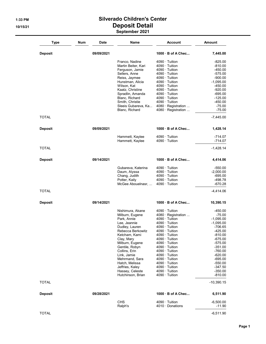### 1:33 PM Silverado Children's Center 10/15/21 Deposit Detail September 2021

| <b>Type</b>    | Num | <b>Date</b> | Name                                | <b>Account</b>                                 | Amount                  |
|----------------|-----|-------------|-------------------------------------|------------------------------------------------|-------------------------|
| <b>Deposit</b> |     | 09/09/2021  |                                     | $1000 \cdot B$ of A Chec                       | 7,445.00                |
|                |     |             | Franco, Nadine                      | $4090 \cdot$ Tuition                           | $-825.00$               |
|                |     |             | Martin Beiter, Kari                 | $4090 \cdot$ Tuition                           | $-810.00$               |
|                |     |             | Ferguson, Jamie                     | 4090 · Tuition                                 | -450.00                 |
|                |     |             | Sellers, Anne                       | $4090 \cdot$ Tuition                           | -575.00                 |
|                |     |             | Reiss, Jaymee                       | $4090 \cdot$ Tuition                           | $-900.00$               |
|                |     |             | Hunstman, Alicia                    | $4090 \cdot$ Tuition                           | $-1,095.00$             |
|                |     |             | Wilson, Kat                         | $4090 \cdot$ Tuition                           | $-450.00$               |
|                |     |             | Kaatz, Christine                    | $4090 \cdot$ Tuition<br>$4090 \cdot$ Tuition   | $-920.00$<br>$-695.00$  |
|                |     |             | Spradlin, Amanda<br>Blanc, Richard  | $4090 \cdot$ Tuition                           | $-125.00$               |
|                |     |             | Smith, Christie                     | $4090 \cdot$ Tuition                           | -450.00                 |
|                |     |             | Sleeis Gubareva, Ka                 | 4080 · Registration                            | $-75.00$                |
|                |     |             | Blanc, Richard                      | 4080 · Registration                            | $-75.00$                |
| <b>TOTAL</b>   |     |             |                                     |                                                | $-7,445.00$             |
| <b>Deposit</b> |     | 09/09/2021  |                                     | $1000 \cdot B$ of A Chec                       | 1,428.14                |
|                |     |             | Hammett, Kaylee                     | $4090 \cdot$ Tuition                           | -714.07                 |
|                |     |             | Hammett, Kaylee                     | $4090 \cdot$ Tuition                           | $-714.07$               |
| <b>TOTAL</b>   |     |             |                                     |                                                | $-1,428.14$             |
| <b>Deposit</b> |     | 09/14/2021  |                                     | $1000 \cdot B$ of A Chec                       | 4,414.06                |
|                |     |             | Gubareva, Katerina                  | 4090 · Tuition                                 | $-550.00$               |
|                |     |             | Daum, Alyssa                        | $4090 \cdot$ Tuition                           | $-2,000.00$             |
|                |     |             | Chang, Judith                       | $4090 \cdot$ Tuition                           | -695.00                 |
|                |     |             | Potter, Kaily<br>McGee Abouelnasr,  | $4090 \cdot$ Tuition<br>$4090 \cdot$ Tuition   | -498.78<br>$-670.28$    |
| <b>TOTAL</b>   |     |             |                                     |                                                | -4,414.06               |
|                |     |             |                                     |                                                |                         |
| <b>Deposit</b> |     | 09/14/2021  |                                     | $1000 \cdot B$ of A Chec                       | 10,390.15               |
|                |     |             | Nishimura, Akane                    | $4090 \cdot$ Tuition                           | $-450.00$               |
|                |     |             | Milburn, Eugene                     | 4080 · Registration                            | $-75.00$                |
|                |     |             | Park, Annie                         | $4090 \cdot$ Tuition                           | $-1,095.00$             |
|                |     |             | Lee, Jeannie                        | $4090 \cdot$ Tuition<br>$4090 \cdot$ Tuition   | $-1,095.00$<br>-706.65  |
|                |     |             | Dudley, Lauren<br>Rebecca Berkowitz | $4090 \cdot$ Tuition                           | -425.00                 |
|                |     |             | Ketcham, Kami                       | $4090 \cdot$ Tuition                           | $-810.00$               |
|                |     |             | Clay, Mary                          | $4090 \cdot$ Tuition                           | $-675.00$               |
|                |     |             | Milburn, Eugene                     | $4090 \cdot$ Tuition                           | $-575.00$               |
|                |     |             | Gentile, Robyn                      | $4090 \cdot$ Tuition                           | -351.00                 |
|                |     |             | Collins, Erin                       | $4090 \cdot$ Tuition                           | $-760.00$               |
|                |     |             | Link, Jamie                         | $4090 \cdot$ Tuition                           | $-620.00$               |
|                |     |             | Mehrmand, Sara                      | $4090 \cdot$ Tuition                           | $-695.00$               |
|                |     |             | Hatch, Melissa<br>Jeffries, Kaley   | $4090 \cdot$ Tuition<br>$4090 \cdot$ Tuition   | $-550.00$<br>$-347.50$  |
|                |     |             | Hassey, Celeste                     | $4090 \cdot$ Tuition                           | $-350.00$               |
|                |     |             | Hutchinson, Brian                   | $4090 \cdot$ Tuition                           | $-810.00$               |
| <b>TOTAL</b>   |     |             |                                     |                                                | $-10,390.15$            |
| <b>Deposit</b> |     | 09/28/2021  |                                     | $1000 \cdot B$ of A Chec                       | 6,511.90                |
|                |     |             | <b>CHS</b><br>Ralph's               | $4090 \cdot$ Tuition<br>$4010 \cdot$ Donations | $-6,500.00$<br>$-11.90$ |
| <b>TOTAL</b>   |     |             |                                     |                                                | $-6,511.90$             |
|                |     |             |                                     |                                                |                         |